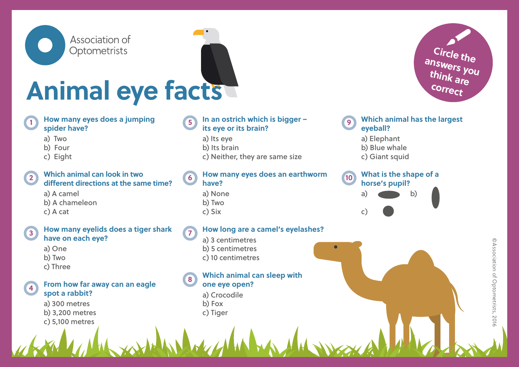

# **Animal eye facts**

## 1) How many eyes does a jumping **1 am of the strich which is bigger spider have?**

- a) Two
- b) Four
- c) Eight

# **Which animal can look in two different directions at the same time?**

a) A camel b) A chameleon c) A cat

### **3 7 How many eyelids does a tiger shark have on each eye?**

a) One b) Two c) Three

### **4 From how far away can an eagle spot a rabbit?**

a) 300 metres b) 3,200 metres c) 5,100 metres

# **In an ostrich which is bigger – its eye or its brain?**

- a) Its eye
- b) Its brain
- c) Neither, they are same size

### 2) **William Call IOOK III (WO**  $\begin{pmatrix} 6 \end{pmatrix}$  From Highly eyes does all earthworm  $\begin{pmatrix} 10 \end{pmatrix}$ **How many eyes does an earthworm have?**

- a) None
- b) Two
- c) Six

# **How long are a camel's eyelashes?**

- a) 3 centimetres b) 5 centimetres
- c) 10 centimetres

### **8 Which animal can sleep with one eye open?**

- a) Crocodile
- b) Fox
- c) Tiger

# **Which animal has the largest eyeball?**

a) Elephant

- b) Blue whale
- c) Giant squid

# **What is the shape of a horse's pupil?** a) b)

c)

r



**Circle the answers you think are correct**

 $\overline{\phantom{0}}$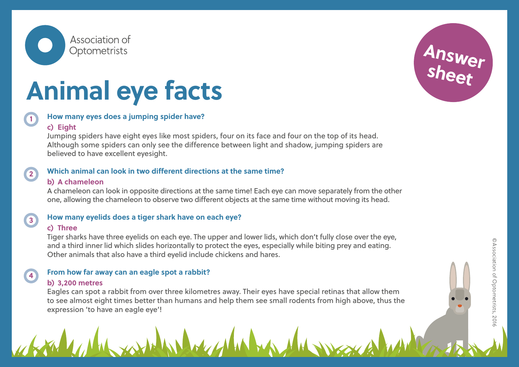

# **Animal eye facts**



# **How many eyes does a jumping spider have?**

## **c) Eight**

Jumping spiders have eight eyes like most spiders, four on its face and four on the top of its head. Although some spiders can only see the difference between light and shadow, jumping spiders are believed to have excellent eyesight.

# **Which animal can look in two different directions at the same time?**

# **b) A chameleon**

A chameleon can look in opposite directions at the same time! Each eye can move separately from the other one, allowing the chameleon to observe two different objects at the same time without moving its head.

**3**

**4**

**2**

# **How many eyelids does a tiger shark have on each eye?**

# **c) Three**

Tiger sharks have three eyelids on each eye. The upper and lower lids, which don't fully close over the eye, and a third inner lid which slides horizontally to protect the eyes, especially while biting prey and eating. Other animals that also have a third eyelid include chickens and hares.

# **From how far away can an eagle spot a rabbit?**

# **b) 3,200 metres**

Eagles can spot a rabbit from over three kilometres away. Their eyes have special retinas that allow them to see almost eight times better than humans and help them see small rodents from high above, thus the expression 'to have an eagle eye'!